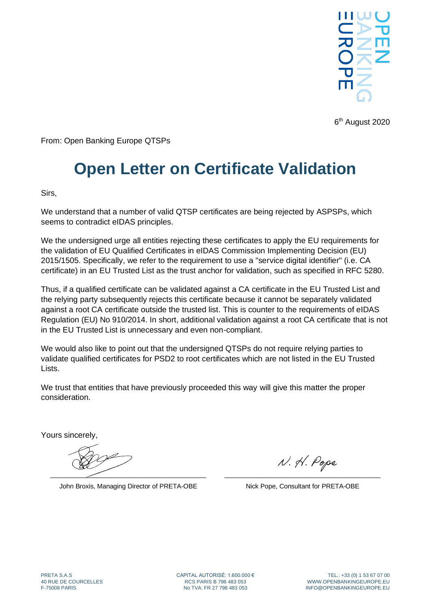

6 th August 2020

From: Open Banking Europe QTSPs

## **Open Letter on Certificate Validation**

Sirs,

We understand that a number of valid QTSP certificates are being rejected by ASPSPs, which seems to contradict eIDAS principles.

We the undersigned urge all entities rejecting these certificates to apply the EU requirements for the validation of EU Qualified Certificates in eIDAS Commission Implementing Decision (EU) 2015/1505. Specifically, we refer to the requirement to use a "service digital identifier" (i.e. CA certificate) in an EU Trusted List as the trust anchor for validation, such as specified in RFC 5280.

Thus, if a qualified certificate can be validated against a CA certificate in the EU Trusted List and the relying party subsequently rejects this certificate because it cannot be separately validated against a root CA certificate outside the trusted list. This is counter to the requirements of eIDAS Regulation (EU) No 910/2014. In short, additional validation against a root CA certificate that is not in the EU Trusted List is unnecessary and even non-compliant.

We would also like to point out that the undersigned QTSPs do not require relying parties to validate qualified certificates for PSD2 to root certificates which are not listed in the EU Trusted Lists.

We trust that entities that have previously proceeded this way will give this matter the proper consideration.

Yours sincerely,

 $\overbrace{\phantom{xxxxx}}$ 

John Broxis, Managing Director of PRETA-OBE

N. H. Pope \_\_\_\_\_\_\_\_\_\_\_\_\_\_\_\_\_\_\_\_\_\_\_\_\_\_\_\_\_\_\_\_\_\_\_\_\_\_\_\_\_\_\_

Nick Pope, Consultant for PRETA-OBE